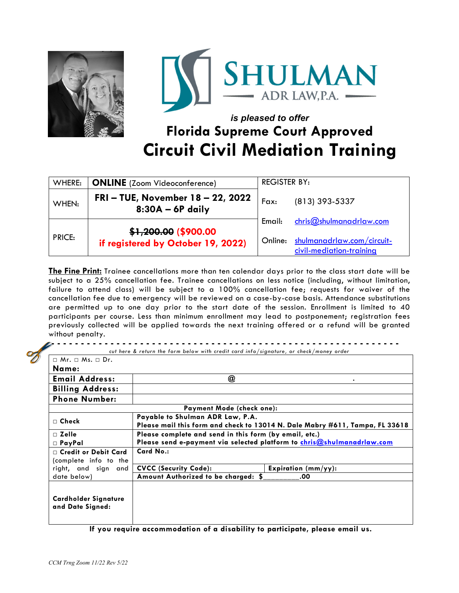



# *is pleased to offer*  **Florida Supreme Court Approved Circuit Civil Mediation Training**

| WHERE:        | <b>ONLINE</b> (Zoom Videoconference)                       | <b>REGISTER BY:</b> |                                                        |
|---------------|------------------------------------------------------------|---------------------|--------------------------------------------------------|
| WHEN:         | FRI-TUE, November 18 - 22, 2022<br>$8:30A - 6P$ daily      | Fax:                | (813) 393-5337                                         |
|               |                                                            | Email:              | chris@shulmandrlaw.com                                 |
| <b>PRICE:</b> | \$1,200.00 (\$900.00<br>if registered by October 19, 2022) | Online:             | shulmanadrlaw.com/circuit-<br>civil-mediation-training |

**The Fine Print:** Trainee cancellations more than ten calendar days prior to the class start date will be subject to a 25% cancellation fee. Trainee cancellations on less notice (including, without limitation, failure to attend class) will be subject to a 100% cancellation fee; requests for waiver of the cancellation fee due to emergency will be reviewed on a case-by-case basis. Attendance substitutions are permitted up to one day prior to the start date of the session. Enrollment is limited to 40 participants per course. Less than minimum enrollment may lead to postponement; registration fees previously collected will be applied towards the next training offered or a refund will be granted without penalty.

 **- - - - - - - - - - - - - - - - - - - - - - - - - - - - - - - - - - - - - - - - - - - - - - - - - - - - - - - - - -** *cut here & return the form below with credit card info/signature, or check/money order* 

| $\sqcap$ Mr. $\sqcap$ Ms. $\sqcap$ Dr.               |                                                                                                                                  |  |  |  |
|------------------------------------------------------|----------------------------------------------------------------------------------------------------------------------------------|--|--|--|
| Name:                                                |                                                                                                                                  |  |  |  |
| <b>Email Address:</b>                                | @<br>٠                                                                                                                           |  |  |  |
| <b>Billing Address:</b>                              |                                                                                                                                  |  |  |  |
| <b>Phone Number:</b>                                 |                                                                                                                                  |  |  |  |
| <b>Payment Mode (check one):</b>                     |                                                                                                                                  |  |  |  |
| $\sqcap$ Check                                       | Payable to Shulman ADR Law, P.A.<br>Please mail this form and check to 13014 N. Dale Mabry #611, Tampa, FL 33618                 |  |  |  |
| $\sqcap$ Zelle<br>$\Box$ PayPal                      | Please complete and send in this form (by email, etc.)<br>Please send e-payment via selected platform to chris@shulmanadrlaw.com |  |  |  |
| $\Box$ Credit or Debit Card<br>(complete info to the | Card No.:                                                                                                                        |  |  |  |
| right, and sign and                                  | <b>CVCC (Security Code):</b><br>Expiration $(mm/yy)$ :                                                                           |  |  |  |
| date below)                                          | Amount Authorized to be charged: \$<br>.00                                                                                       |  |  |  |
| Cardholder Signature<br>and Date Signed:             |                                                                                                                                  |  |  |  |

**If you require accommodation of a disability to participate, please email us.**